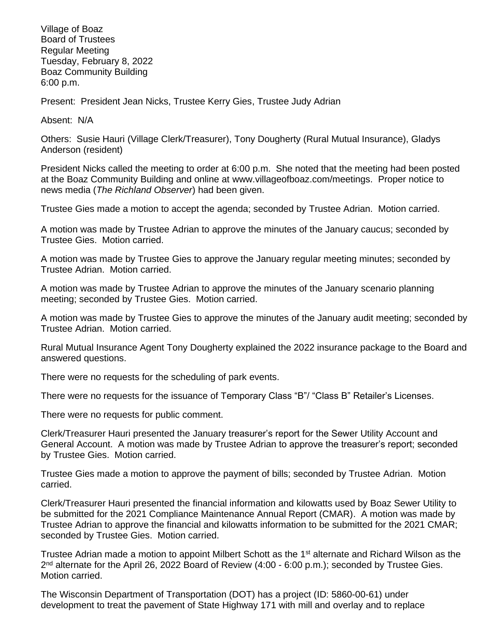Village of Boaz Board of Trustees Regular Meeting Tuesday, February 8, 2022 Boaz Community Building 6:00 p.m.

Present: President Jean Nicks, Trustee Kerry Gies, Trustee Judy Adrian

Absent: N/A

Others: Susie Hauri (Village Clerk/Treasurer), Tony Dougherty (Rural Mutual Insurance), Gladys Anderson (resident)

President Nicks called the meeting to order at 6:00 p.m. She noted that the meeting had been posted at the Boaz Community Building and online at [www.villageofboaz.com/meetings.](http://www.villageofboaz.com/meetings) Proper notice to news media (*The Richland Observer*) had been given.

Trustee Gies made a motion to accept the agenda; seconded by Trustee Adrian. Motion carried.

A motion was made by Trustee Adrian to approve the minutes of the January caucus; seconded by Trustee Gies. Motion carried.

A motion was made by Trustee Gies to approve the January regular meeting minutes; seconded by Trustee Adrian. Motion carried.

A motion was made by Trustee Adrian to approve the minutes of the January scenario planning meeting; seconded by Trustee Gies. Motion carried.

A motion was made by Trustee Gies to approve the minutes of the January audit meeting; seconded by Trustee Adrian. Motion carried.

Rural Mutual Insurance Agent Tony Dougherty explained the 2022 insurance package to the Board and answered questions.

There were no requests for the scheduling of park events.

There were no requests for the issuance of Temporary Class "B"/ "Class B" Retailer's Licenses.

There were no requests for public comment.

Clerk/Treasurer Hauri presented the January treasurer's report for the Sewer Utility Account and General Account. A motion was made by Trustee Adrian to approve the treasurer's report; seconded by Trustee Gies. Motion carried.

Trustee Gies made a motion to approve the payment of bills; seconded by Trustee Adrian. Motion carried.

Clerk/Treasurer Hauri presented the financial information and kilowatts used by Boaz Sewer Utility to be submitted for the 2021 Compliance Maintenance Annual Report (CMAR). A motion was made by Trustee Adrian to approve the financial and kilowatts information to be submitted for the 2021 CMAR; seconded by Trustee Gies. Motion carried.

Trustee Adrian made a motion to appoint Milbert Schott as the 1st alternate and Richard Wilson as the 2<sup>nd</sup> alternate for the April 26, 2022 Board of Review (4:00 - 6:00 p.m.); seconded by Trustee Gies. Motion carried.

The Wisconsin Department of Transportation (DOT) has a project (ID: 5860-00-61) under development to treat the pavement of State Highway 171 with mill and overlay and to replace